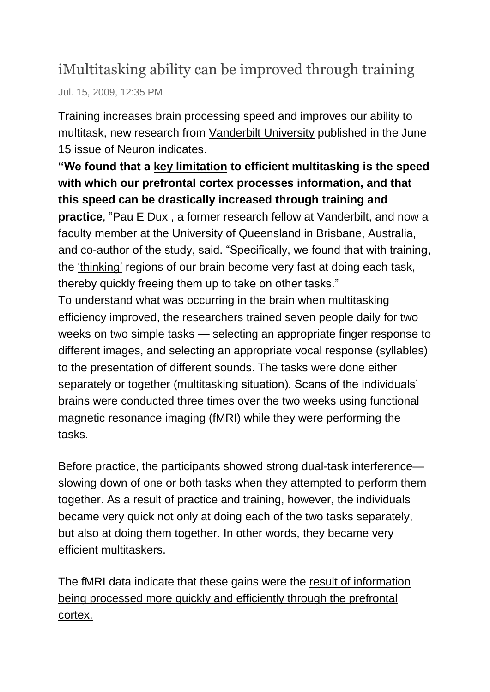## iMultitasking ability can be improved through training

Jul. 15, 2009, 12:35 PM

Training increases brain processing speed and improves our ability to multitask, new research from Vanderbilt University published in the June 15 issue of Neuron indicates.

**"We found that a key limitation to efficient multitasking is the speed with which our prefrontal cortex processes information, and that this speed can be drastically increased through training and practice**, "Pau E Dux , a former research fellow at Vanderbilt, and now a faculty member at the University of Queensland in Brisbane, Australia, and co-author of the study, said. "Specifically, we found that with training, the 'thinking' regions of our brain become very fast at doing each task, thereby quickly freeing them up to take on other tasks."

To understand what was occurring in the brain when multitasking efficiency improved, the researchers trained seven people daily for two weeks on two simple tasks — selecting an appropriate finger response to different images, and selecting an appropriate vocal response (syllables) to the presentation of different sounds. The tasks were done either separately or together (multitasking situation). Scans of the individuals' brains were conducted three times over the two weeks using functional magnetic resonance imaging (fMRI) while they were performing the tasks.

Before practice, the participants showed strong dual-task interference slowing down of one or both tasks when they attempted to perform them together. As a result of practice and training, however, the individuals became very quick not only at doing each of the two tasks separately, but also at doing them together. In other words, they became very efficient multitaskers.

The fMRI data indicate that these gains were the result of information being processed more quickly and efficiently through the prefrontal cortex.